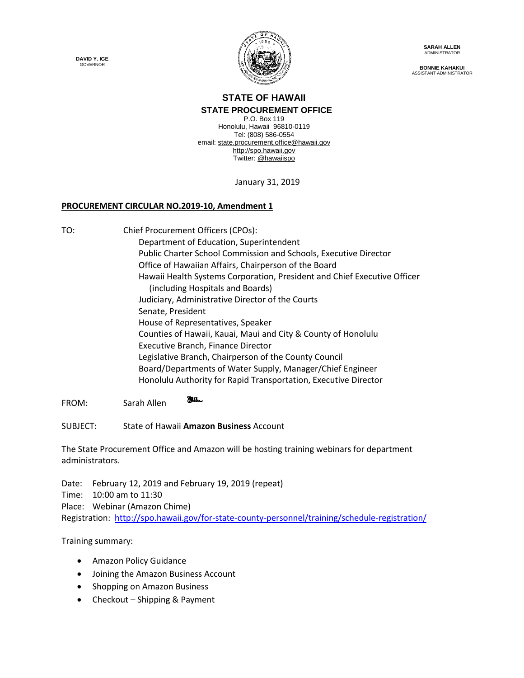**DAVID Y. IGE** GOVERNOR



**SARAH ALLEN** ADMINISTRATOR

**BONNIE KAHAKUI** ASSISTANT ADMINISTRATOR

## **STATE OF HAWAII STATE PROCUREMENT OFFICE**

P.O. Box 119 Honolulu, Hawaii 96810-0119 Tel: (808) 586-0554 email[: state.procurement.office@hawaii.gov](mailto:state.procurement.office@hawaii.gov) [http://spo.hawaii.gov](http://spo.hawaii.gov/) Twitter: [@hawaiispo](https://twitter.com/hawaiispo)

January 31, 2019

## **PROCUREMENT CIRCULAR NO.2019-10, Amendment 1**

TO: Chief Procurement Officers (CPOs):

Department of Education, Superintendent Public Charter School Commission and Schools, Executive Director Office of Hawaiian Affairs, Chairperson of the Board Hawaii Health Systems Corporation, President and Chief Executive Officer (including Hospitals and Boards) Judiciary, Administrative Director of the Courts Senate, President House of Representatives, Speaker Counties of Hawaii, Kauai, Maui and City & County of Honolulu Executive Branch, Finance Director Legislative Branch, Chairperson of the County Council Board/Departments of Water Supply, Manager/Chief Engineer Honolulu Authority for Rapid Transportation, Executive Director

**Julen** FROM: Sarah Allen

SUBJECT: State of Hawaii **Amazon Business** Account

The State Procurement Office and Amazon will be hosting training webinars for department administrators.

Date: February 12, 2019 and February 19, 2019 (repeat)

Time: 10:00 am to 11:30

Place: Webinar (Amazon Chime)

Registration: <http://spo.hawaii.gov/for-state-county-personnel/training/schedule-registration/>

Training summary:

- Amazon Policy Guidance
- Joining the Amazon Business Account
- Shopping on Amazon Business
- Checkout Shipping & Payment